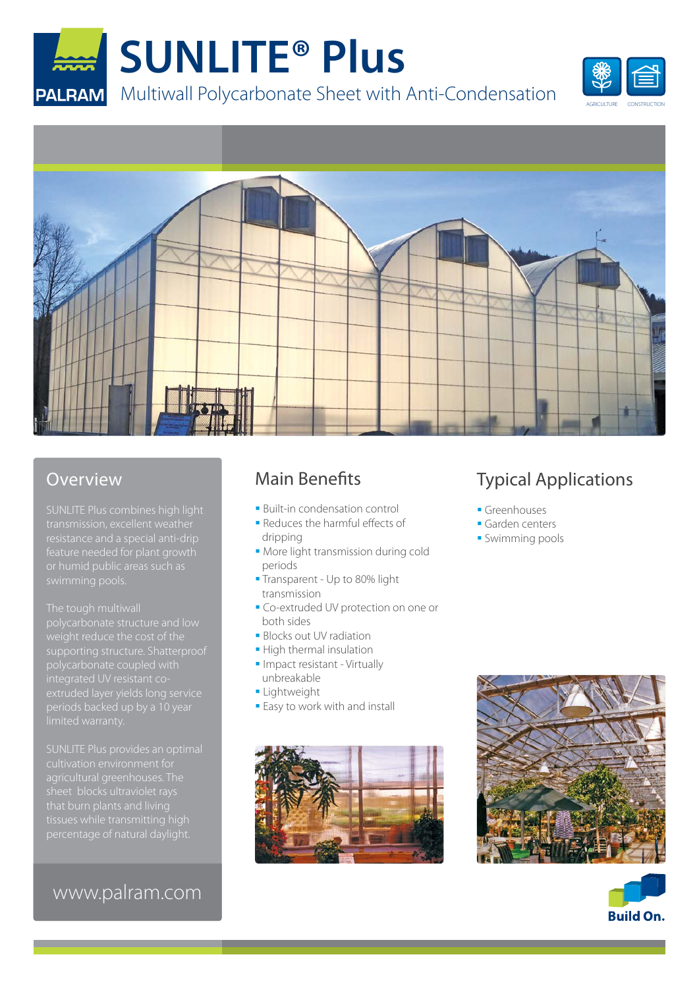





#### **Overview**

SUNLITE Plus combines high light transmission, excellent weather feature needed for plant growth

weight reduce the cost of the polycarbonate coupled with

tissues while transmitting high

#### www.palram.com

#### Main Benefits

- **Built-in condensation control**
- Reduces the harmful effects of dripping
- **More light transmission during cold** periods
- **Transparent Up to 80% light** transmission
- **Co-extruded UV protection on one or** both sides
- **Blocks out UV radiation**
- **High thermal insulation**
- Impact resistant Virtually unbreakable
- **Lightweight**
- **Easy to work with and install**



### Typical Applications

- Greenhouses
- Garden centers
- **Swimming pools**